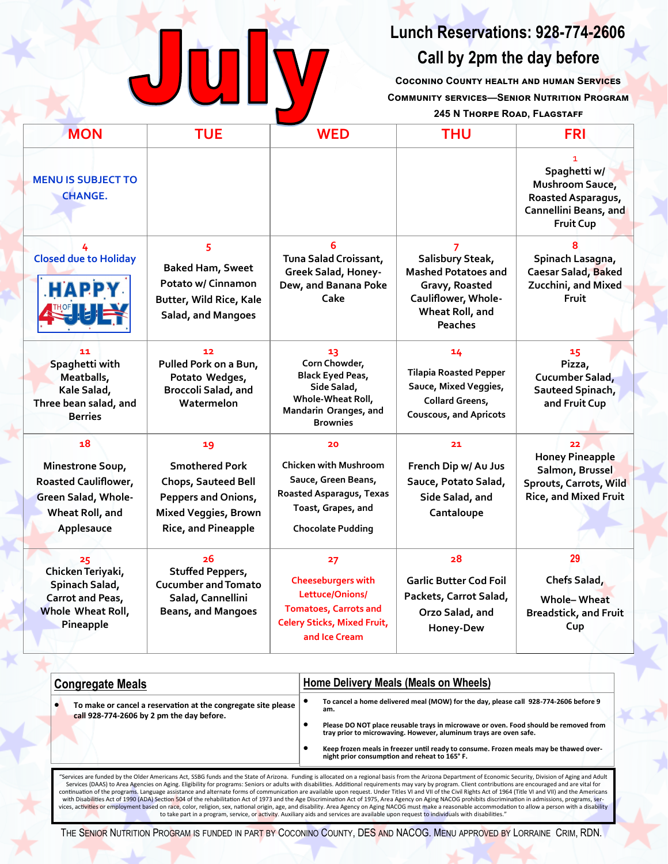

## **Lunch Reservations: 928-774-2606**

### **Call by 2pm the day before**

**Coconino County health and human Services Community services—Senior Nutrition Program**

#### **245 N Thorpe Road, Flagstaff**

| <b>MON</b>                                                                                             | <b>TUE</b>                                                                                                                             | <b>WED</b>                                                                                                                                | <b>THU</b>                                                                                                                   | <b>FRI</b>                                                                                               |  |
|--------------------------------------------------------------------------------------------------------|----------------------------------------------------------------------------------------------------------------------------------------|-------------------------------------------------------------------------------------------------------------------------------------------|------------------------------------------------------------------------------------------------------------------------------|----------------------------------------------------------------------------------------------------------|--|
| <b>MENU IS SUBJECT TO</b><br><b>CHANGE.</b>                                                            |                                                                                                                                        |                                                                                                                                           |                                                                                                                              | 1.<br>Spaghetti w/<br>Mushroom Sauce,<br>Roasted Asparagus,<br>Cannellini Beans, and<br><b>Fruit Cup</b> |  |
| <b>Closed due to Holiday</b><br><b>HAPPY</b>                                                           | 5<br><b>Baked Ham, Sweet</b><br>Potato w/ Cinnamon<br>Butter, Wild Rice, Kale<br>Salad, and Mangoes                                    | 6<br>Tuna Salad Croissant,<br>Greek Salad, Honey-<br>Dew, and Banana Poke<br>Cake                                                         | Salisbury Steak,<br><b>Mashed Potatoes and</b><br>Gravy, Roasted<br>Cauliflower, Whole-<br>Wheat Roll, and<br><b>Peaches</b> | Spinach Lasagna,<br>Caesar Salad, Baked<br>Zucchini, and Mixed<br>Fruit                                  |  |
| 11<br>Spaghetti with<br>Meatballs,<br>Kale Salad,<br>Three bean salad, and<br><b>Berries</b>           | 12<br>Pulled Pork on a Bun,<br>Potato Wedges,<br>Broccoli Salad, and<br>Watermelon                                                     | 13<br>Corn Chowder,<br><b>Black Eyed Peas,</b><br>Side Salad,<br>Whole-Wheat Roll,<br>Mandarin Oranges, and<br><b>Brownies</b>            | 14<br><b>Tilapia Roasted Pepper</b><br>Sauce, Mixed Veggies,<br><b>Collard Greens,</b><br><b>Couscous, and Apricots</b>      | 15<br>Pizza,<br>Cucumber Salad,<br>Sauteed Spinach,<br>and Fruit Cup                                     |  |
| 18<br>Minestrone Soup,<br>Roasted Cauliflower,<br>Green Salad, Whole-<br>Wheat Roll, and<br>Applesauce | 19<br><b>Smothered Pork</b><br><b>Chops, Sauteed Bell</b><br><b>Peppers and Onions,</b><br>Mixed Veggies, Brown<br>Rice, and Pineapple | 20<br>Chicken with Mushroom<br>Sauce, Green Beans,<br>Roasted Asparagus, Texas<br>Toast, Grapes, and<br><b>Chocolate Pudding</b>          | 21<br>French Dip w/ Au Jus<br>Sauce, Potato Salad,<br>Side Salad, and<br>Cantaloupe                                          | 22<br><b>Honey Pineapple</b><br>Salmon, Brussel<br>Sprouts, Carrots, Wild<br>Rice, and Mixed Fruit       |  |
| 25<br>Chicken Teriyaki,<br>Spinach Salad,<br><b>Carrot and Peas,</b><br>Whole Wheat Roll,<br>Pineapple | 26<br><b>Stuffed Peppers,</b><br><b>Cucumber and Tomato</b><br>Salad, Cannellini<br><b>Beans, and Mangoes</b>                          | 27<br><b>Cheeseburgers with</b><br>Lettuce/Onions/<br><b>Tomatoes, Carrots and</b><br><b>Celery Sticks, Mixed Fruit,</b><br>and Ice Cream | 28<br><b>Garlic Butter Cod Foil</b><br>Packets, Carrot Salad,<br>Orzo Salad, and<br>Honey-Dew                                | 29<br>Chefs Salad,<br><b>Whole-Wheat</b><br><b>Breadstick, and Fruit</b><br>Cup                          |  |

| <b>Congregate Meals</b> |                                                                                                            | Home Delivery Meals (Meals on Wheels) |                                                                                                                                                                                                              |
|-------------------------|------------------------------------------------------------------------------------------------------------|---------------------------------------|--------------------------------------------------------------------------------------------------------------------------------------------------------------------------------------------------------------|
|                         | To make or cancel a reservation at the congregate site please<br>call 928-774-2606 by 2 pm the day before. |                                       | To cancel a home delivered meal (MOW) for the day, please call 928-774-2606 before 9<br>am.                                                                                                                  |
|                         |                                                                                                            |                                       | Please DO NOT place reusable trays in microwave or oven. Food should be removed from<br>tray prior to microwaving. However, aluminum trays are oven safe.                                                    |
|                         |                                                                                                            |                                       | Keep frozen meals in freezer until ready to consume. Frozen meals may be thawed over-<br>night prior consumption and reheat to 165°F.                                                                        |
|                         |                                                                                                            |                                       | "Services are funded by the Older Americans Act, SSBG funds and the State of Arizona. Funding is allocated on a regional basis from the Arizona Department of Economic Security, Division of Aging and Adult |

"Services are funded by the Older Americans Act, SSBG funds and the State of Arizona. Funding is allocated on a regional basis from the Arizona Department of Economic Security, Division of Aging and Adult"<br>Services (DAAS) continuation of the programs. Language assistance and alternate forms of communication are available upon request. Under Titles VI and VII of the Civil Rights Act of 1964 (Title VI and VII) and the Americans (Title VI and vices, activ<mark>ities or employment based on race</mark>, color, religion, sex, national origin, age, and disability. Area Agency on Aging NACOG must make a reasonable accommodation to allow a person with a disability<br>to take part

THE SENIOR NUTRITION PROGRAM IS FUNDED IN PART BY COCONINO COUNTY, DES AND NACOG. MENU APPROVED BY LORRAINE CRIM, RDN.